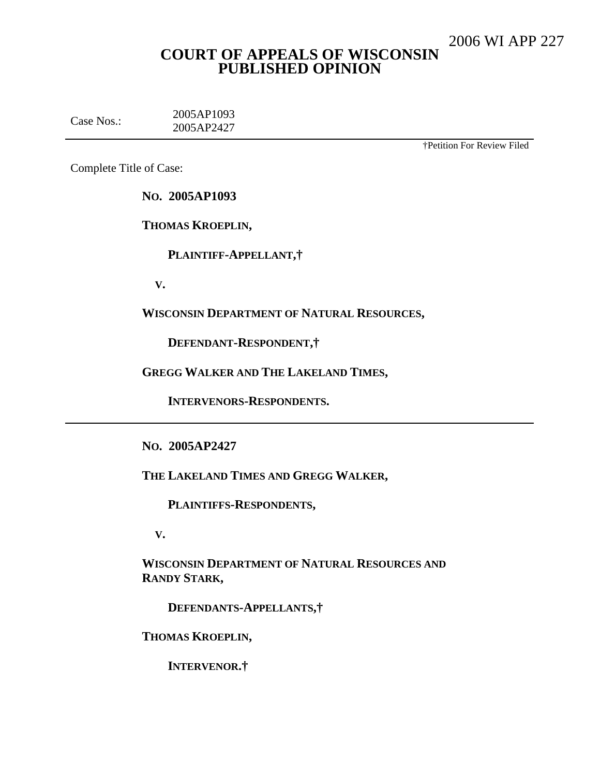# **COURT OF APPEALS OF WISCONSIN PUBLISHED OPINION**

Case Nos.: 2005AP1093 2005AP2427

†Petition For Review Filed

Complete Title of Case:

**NO. 2005AP1093**

**THOMAS KROEPLIN,**

**PLAINTIFF-APPELLANT,†**

**V.**

**WISCONSIN DEPARTMENT OF NATURAL RESOURCES,**

**DEFENDANT-RESPONDENT,†**

**GREGG WALKER AND THE LAKELAND TIMES,**

**INTERVENORS-RESPONDENTS.**

**NO. 2005AP2427**

**THE LAKELAND TIMES AND GREGG WALKER,**

**PLAINTIFFS-RESPONDENTS,**

**V.**

**WISCONSIN DEPARTMENT OF NATURAL RESOURCES AND RANDY STARK,**

**DEFENDANTS-APPELLANTS,†**

**THOMAS KROEPLIN,**

**INTERVENOR.†**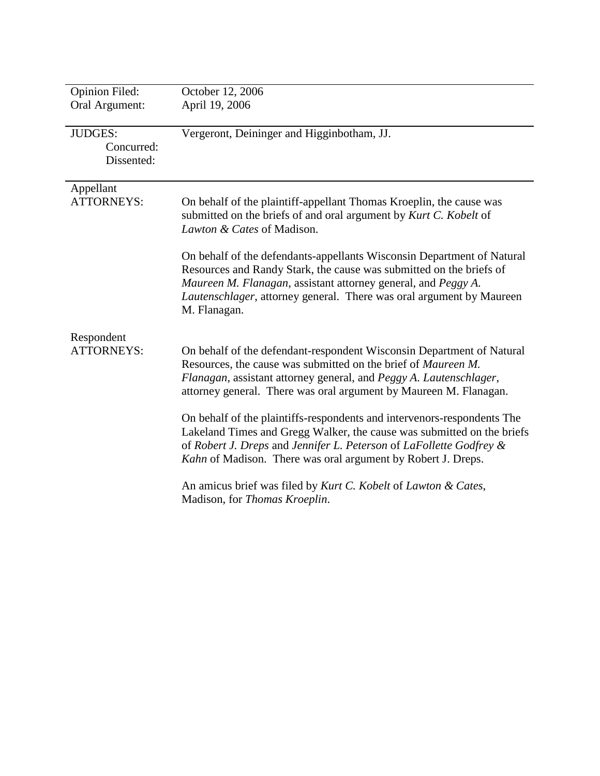| <b>Opinion Filed:</b>           | October 12, 2006                                                        |
|---------------------------------|-------------------------------------------------------------------------|
|                                 |                                                                         |
| Oral Argument:                  | April 19, 2006                                                          |
|                                 |                                                                         |
| <b>JUDGES:</b>                  | Vergeront, Deininger and Higginbotham, JJ.                              |
| Concurred:                      |                                                                         |
| Dissented:                      |                                                                         |
|                                 |                                                                         |
| Appellant                       |                                                                         |
| <b>ATTORNEYS:</b>               | On behalf of the plaintiff-appellant Thomas Kroeplin, the cause was     |
|                                 | submitted on the briefs of and oral argument by Kurt C. Kobelt of       |
|                                 | Lawton & Cates of Madison.                                              |
|                                 |                                                                         |
|                                 | On behalf of the defendants-appellants Wisconsin Department of Natural  |
|                                 | Resources and Randy Stark, the cause was submitted on the briefs of     |
|                                 | Maureen M. Flanagan, assistant attorney general, and Peggy A.           |
|                                 | Lautenschlager, attorney general. There was oral argument by Maureen    |
|                                 | M. Flanagan.                                                            |
|                                 |                                                                         |
| Respondent<br><b>ATTORNEYS:</b> |                                                                         |
|                                 | On behalf of the defendant-respondent Wisconsin Department of Natural   |
|                                 | Resources, the cause was submitted on the brief of Maureen M.           |
|                                 | Flanagan, assistant attorney general, and Peggy A. Lautenschlager,      |
|                                 | attorney general. There was oral argument by Maureen M. Flanagan.       |
|                                 | On behalf of the plaintiffs-respondents and intervenors-respondents The |
|                                 |                                                                         |
|                                 | Lakeland Times and Gregg Walker, the cause was submitted on the briefs  |
|                                 | of Robert J. Dreps and Jennifer L. Peterson of LaFollette Godfrey &     |
|                                 | Kahn of Madison. There was oral argument by Robert J. Dreps.            |
|                                 | An amicus brief was filed by Kurt C. Kobelt of Lawton & Cates,          |
|                                 | Madison, for Thomas Kroeplin.                                           |
|                                 |                                                                         |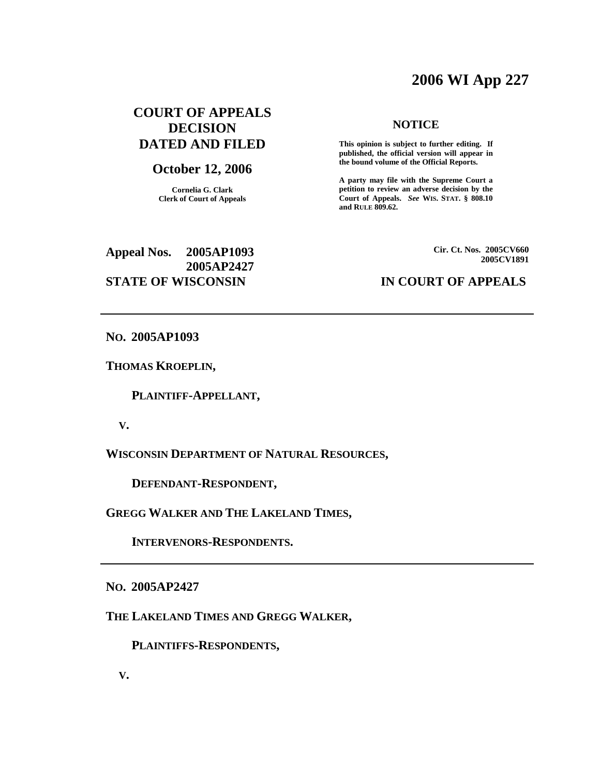# **2006 WI App 227**

# **COURT OF APPEALS DECISION DATED AND FILED**

## **October 12, 2006**

**Cornelia G. Clark Clerk of Court of Appeals**

#### **NOTICE**

**This opinion is subject to further editing. If published, the official version will appear in the bound volume of the Official Reports.**

**A party may file with the Supreme Court a petition to review an adverse decision by the Court of Appeals.** *See* **WIS. STAT. § 808.10 and RULE 809.62.**

# **Appeal Nos. 2005AP1093 2005AP2427 STATE OF WISCONSIN IN COURT OF APPEALS**

**Cir. Ct. Nos. 2005CV660 2005CV1891**

**NO. 2005AP1093**

**THOMAS KROEPLIN,**

**PLAINTIFF-APPELLANT,**

**V.**

**WISCONSIN DEPARTMENT OF NATURAL RESOURCES,**

**DEFENDANT-RESPONDENT,**

**GREGG WALKER AND THE LAKELAND TIMES,**

**INTERVENORS-RESPONDENTS.**

**NO. 2005AP2427**

**THE LAKELAND TIMES AND GREGG WALKER,**

**PLAINTIFFS-RESPONDENTS,**

**V.**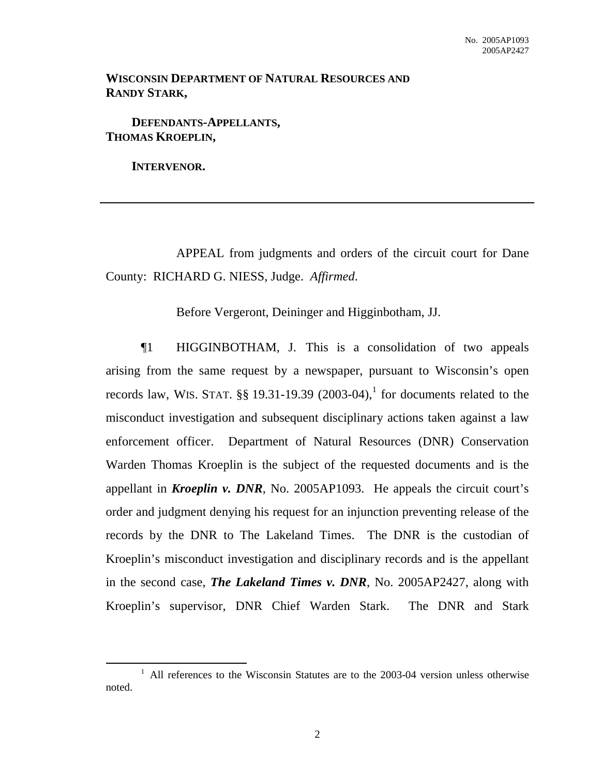# **WISCONSIN DEPARTMENT OF NATURAL RESOURCES AND RANDY STARK,**

**DEFENDANTS-APPELLANTS, THOMAS KROEPLIN,**

**INTERVENOR.**

APPEAL from judgments and orders of the circuit court for Dane County: RICHARD G. NIESS, Judge. *Affirmed*.

Before Vergeront, Deininger and Higginbotham, JJ.

¶1 HIGGINBOTHAM, J. This is a consolidation of two appeals arising from the same request by a newspaper, pursuant to Wisconsin's open records law, WIS. STAT.  $\S$ § 19.31-19.39 (2003-04),<sup>1</sup> for documents related to the misconduct investigation and subsequent disciplinary actions taken against a law enforcement officer. Department of Natural Resources (DNR) Conservation Warden Thomas Kroeplin is the subject of the requested documents and is the appellant in *Kroeplin v. DNR*, No. 2005AP1093. He appeals the circuit court's order and judgment denying his request for an injunction preventing release of the records by the DNR to The Lakeland Times. The DNR is the custodian of Kroeplin's misconduct investigation and disciplinary records and is the appellant in the second case, *The Lakeland Times v. DNR*, No. 2005AP2427, along with Kroeplin's supervisor, DNR Chief Warden Stark. The DNR and Stark

 $1$  All references to the Wisconsin Statutes are to the 2003-04 version unless otherwise noted.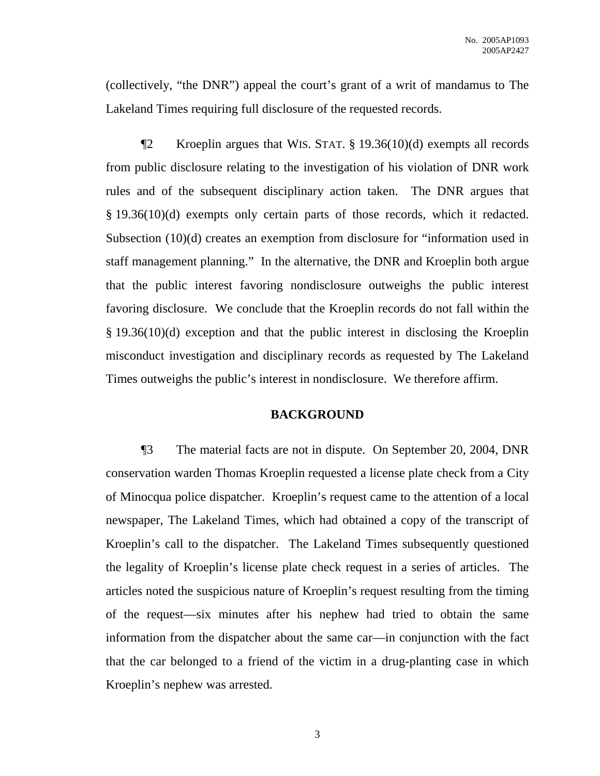(collectively, "the DNR") appeal the court's grant of a writ of mandamus to The Lakeland Times requiring full disclosure of the requested records.

 $\P2$  Kroeplin argues that WIS. STAT. § 19.36(10)(d) exempts all records from public disclosure relating to the investigation of his violation of DNR work rules and of the subsequent disciplinary action taken. The DNR argues that § 19.36(10)(d) exempts only certain parts of those records, which it redacted. Subsection (10)(d) creates an exemption from disclosure for "information used in staff management planning." In the alternative, the DNR and Kroeplin both argue that the public interest favoring nondisclosure outweighs the public interest favoring disclosure. We conclude that the Kroeplin records do not fall within the § 19.36(10)(d) exception and that the public interest in disclosing the Kroeplin misconduct investigation and disciplinary records as requested by The Lakeland Times outweighs the public's interest in nondisclosure. We therefore affirm.

# **BACKGROUND**

¶3 The material facts are not in dispute. On September 20, 2004, DNR conservation warden Thomas Kroeplin requested a license plate check from a City of Minocqua police dispatcher. Kroeplin's request came to the attention of a local newspaper, The Lakeland Times, which had obtained a copy of the transcript of Kroeplin's call to the dispatcher. The Lakeland Times subsequently questioned the legality of Kroeplin's license plate check request in a series of articles. The articles noted the suspicious nature of Kroeplin's request resulting from the timing of the request—six minutes after his nephew had tried to obtain the same information from the dispatcher about the same car—in conjunction with the fact that the car belonged to a friend of the victim in a drug-planting case in which Kroeplin's nephew was arrested.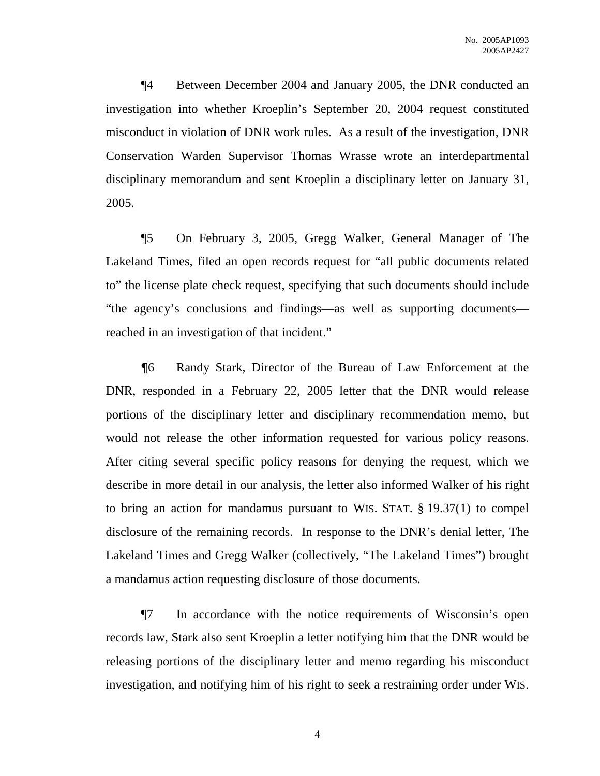¶4 Between December 2004 and January 2005, the DNR conducted an investigation into whether Kroeplin's September 20, 2004 request constituted misconduct in violation of DNR work rules. As a result of the investigation, DNR Conservation Warden Supervisor Thomas Wrasse wrote an interdepartmental disciplinary memorandum and sent Kroeplin a disciplinary letter on January 31, 2005.

¶5 On February 3, 2005, Gregg Walker, General Manager of The Lakeland Times, filed an open records request for "all public documents related to" the license plate check request, specifying that such documents should include "the agency's conclusions and findings—as well as supporting documents reached in an investigation of that incident."

**¶**6 Randy Stark, Director of the Bureau of Law Enforcement at the DNR, responded in a February 22, 2005 letter that the DNR would release portions of the disciplinary letter and disciplinary recommendation memo, but would not release the other information requested for various policy reasons. After citing several specific policy reasons for denying the request, which we describe in more detail in our analysis, the letter also informed Walker of his right to bring an action for mandamus pursuant to WIS. STAT. § 19.37(1) to compel disclosure of the remaining records. In response to the DNR's denial letter, The Lakeland Times and Gregg Walker (collectively, "The Lakeland Times") brought a mandamus action requesting disclosure of those documents.

¶7 In accordance with the notice requirements of Wisconsin's open records law, Stark also sent Kroeplin a letter notifying him that the DNR would be releasing portions of the disciplinary letter and memo regarding his misconduct investigation, and notifying him of his right to seek a restraining order under WIS.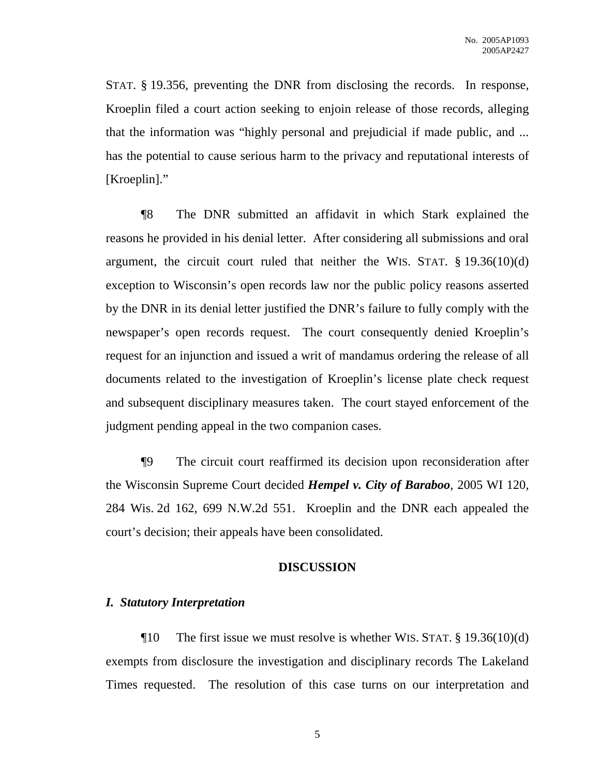STAT. § 19.356, preventing the DNR from disclosing the records. In response, Kroeplin filed a court action seeking to enjoin release of those records, alleging that the information was "highly personal and prejudicial if made public, and ... has the potential to cause serious harm to the privacy and reputational interests of [Kroeplin]."

¶8 The DNR submitted an affidavit in which Stark explained the reasons he provided in his denial letter. After considering all submissions and oral argument, the circuit court ruled that neither the WIS. STAT.  $\S$  19.36(10)(d) exception to Wisconsin's open records law nor the public policy reasons asserted by the DNR in its denial letter justified the DNR's failure to fully comply with the newspaper's open records request. The court consequently denied Kroeplin's request for an injunction and issued a writ of mandamus ordering the release of all documents related to the investigation of Kroeplin's license plate check request and subsequent disciplinary measures taken. The court stayed enforcement of the judgment pending appeal in the two companion cases.

¶9 The circuit court reaffirmed its decision upon reconsideration after the Wisconsin Supreme Court decided *Hempel v. City of Baraboo*, 2005 WI 120, 284 Wis. 2d 162, 699 N.W.2d 551. Kroeplin and the DNR each appealed the court's decision; their appeals have been consolidated.

### **DISCUSSION**

### *I. Statutory Interpretation*

 $\P$ 10 The first issue we must resolve is whether WIS. STAT. § 19.36(10)(d) exempts from disclosure the investigation and disciplinary records The Lakeland Times requested. The resolution of this case turns on our interpretation and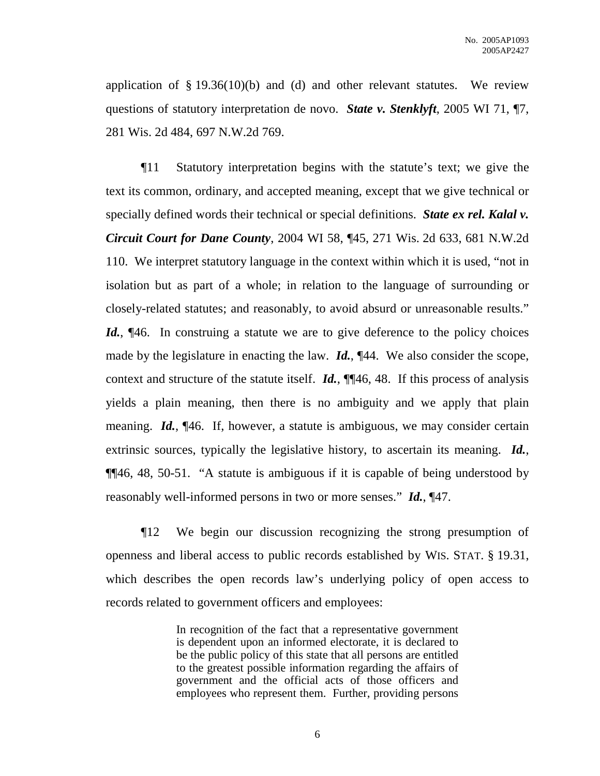application of  $\S 19.36(10)(b)$  and (d) and other relevant statutes. We review questions of statutory interpretation de novo. *State v. Stenklyft*, 2005 WI 71, ¶7, 281 Wis. 2d 484, 697 N.W.2d 769.

¶11 Statutory interpretation begins with the statute's text; we give the text its common, ordinary, and accepted meaning, except that we give technical or specially defined words their technical or special definitions. *State ex rel. Kalal v. Circuit Court for Dane County*, 2004 WI 58, ¶45, 271 Wis. 2d 633, 681 N.W.2d 110. We interpret statutory language in the context within which it is used, "not in isolation but as part of a whole; in relation to the language of surrounding or closely-related statutes; and reasonably, to avoid absurd or unreasonable results." *Id.*, [46. In construing a statute we are to give deference to the policy choices made by the legislature in enacting the law. *Id.*, ¶44. We also consider the scope, context and structure of the statute itself. *Id.*, ¶¶46, 48. If this process of analysis yields a plain meaning, then there is no ambiguity and we apply that plain meaning. *Id.*, ¶46. If, however, a statute is ambiguous, we may consider certain extrinsic sources, typically the legislative history, to ascertain its meaning. *Id.*, ¶¶46, 48, 50-51. "A statute is ambiguous if it is capable of being understood by reasonably well-informed persons in two or more senses." *Id.*, ¶47.

¶12 We begin our discussion recognizing the strong presumption of openness and liberal access to public records established by WIS. STAT. § 19.31, which describes the open records law's underlying policy of open access to records related to government officers and employees:

> In recognition of the fact that a representative government is dependent upon an informed electorate, it is declared to be the public policy of this state that all persons are entitled to the greatest possible information regarding the affairs of government and the official acts of those officers and employees who represent them. Further, providing persons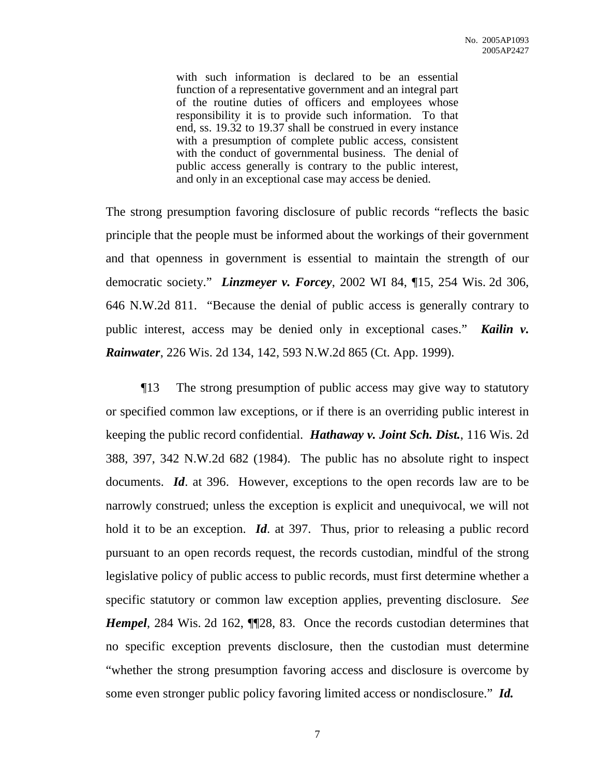with such information is declared to be an essential function of a representative government and an integral part of the routine duties of officers and employees whose responsibility it is to provide such information. To that end, ss. 19.32 to 19.37 shall be construed in every instance with a presumption of complete public access, consistent with the conduct of governmental business. The denial of public access generally is contrary to the public interest, and only in an exceptional case may access be denied.

The strong presumption favoring disclosure of public records "reflects the basic principle that the people must be informed about the workings of their government and that openness in government is essential to maintain the strength of our democratic society." *Linzmeyer v. Forcey*, 2002 WI 84, ¶15, 254 Wis. 2d 306, 646 N.W.2d 811. "Because the denial of public access is generally contrary to public interest, access may be denied only in exceptional cases." *Kailin v. Rainwater*, 226 Wis. 2d 134, 142, 593 N.W.2d 865 (Ct. App. 1999).

¶13 The strong presumption of public access may give way to statutory or specified common law exceptions, or if there is an overriding public interest in keeping the public record confidential. *Hathaway v. Joint Sch. Dist.*, 116 Wis. 2d 388, 397, 342 N.W.2d 682 (1984). The public has no absolute right to inspect documents. *Id*. at 396. However, exceptions to the open records law are to be narrowly construed; unless the exception is explicit and unequivocal, we will not hold it to be an exception. *Id*. at 397. Thus, prior to releasing a public record pursuant to an open records request, the records custodian, mindful of the strong legislative policy of public access to public records, must first determine whether a specific statutory or common law exception applies, preventing disclosure. *See Hempel*, 284 Wis. 2d 162, **[128, 83.** Once the records custodian determines that no specific exception prevents disclosure, then the custodian must determine "whether the strong presumption favoring access and disclosure is overcome by some even stronger public policy favoring limited access or nondisclosure." *Id.*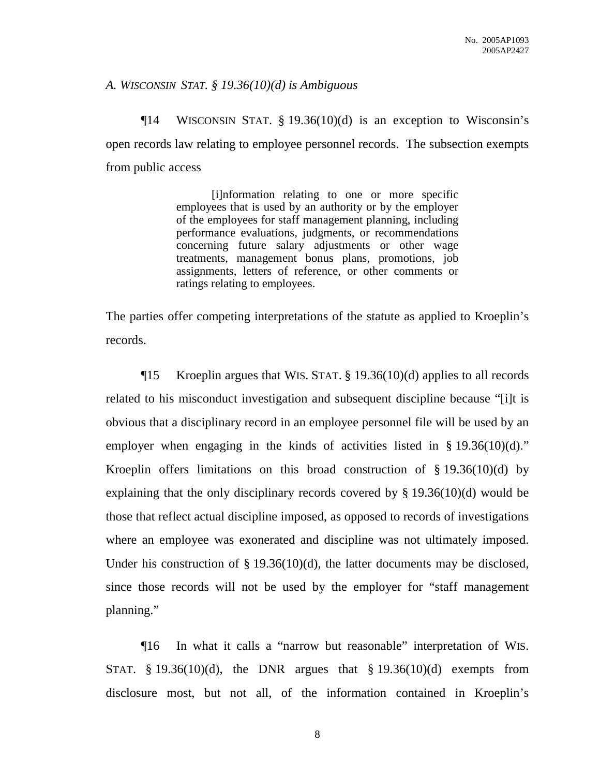# *A. WISCONSIN STAT. § 19.36(10)(d) is Ambiguous*

¶14 WISCONSIN STAT. § 19.36(10)(d) is an exception to Wisconsin's open records law relating to employee personnel records. The subsection exempts from public access

> [i]nformation relating to one or more specific employees that is used by an authority or by the employer of the employees for staff management planning, including performance evaluations, judgments, or recommendations concerning future salary adjustments or other wage treatments, management bonus plans, promotions, job assignments, letters of reference, or other comments or ratings relating to employees.

The parties offer competing interpretations of the statute as applied to Kroeplin's records.

¶15 Kroeplin argues that WIS. STAT. § 19.36(10)(d) applies to all records related to his misconduct investigation and subsequent discipline because "[i]t is obvious that a disciplinary record in an employee personnel file will be used by an employer when engaging in the kinds of activities listed in § 19.36(10)(d)." Kroeplin offers limitations on this broad construction of  $\S$  19.36(10)(d) by explaining that the only disciplinary records covered by § 19.36(10)(d) would be those that reflect actual discipline imposed, as opposed to records of investigations where an employee was exonerated and discipline was not ultimately imposed. Under his construction of § 19.36(10)(d), the latter documents may be disclosed, since those records will not be used by the employer for "staff management planning."

¶16 In what it calls a "narrow but reasonable" interpretation of WIS. STAT.  $§$  19.36(10)(d), the DNR argues that  $§$  19.36(10)(d) exempts from disclosure most, but not all, of the information contained in Kroeplin's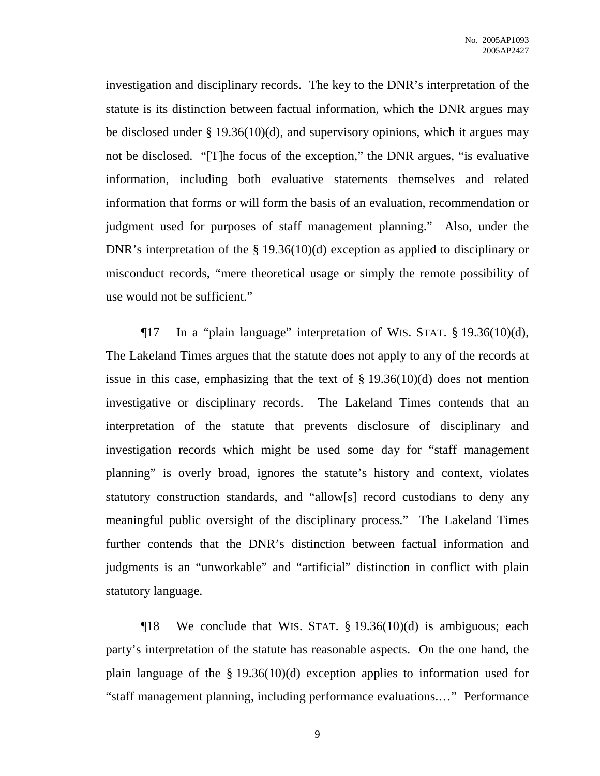investigation and disciplinary records. The key to the DNR's interpretation of the statute is its distinction between factual information, which the DNR argues may be disclosed under § 19.36(10)(d), and supervisory opinions, which it argues may not be disclosed. "[T]he focus of the exception," the DNR argues, "is evaluative information, including both evaluative statements themselves and related information that forms or will form the basis of an evaluation, recommendation or judgment used for purposes of staff management planning." Also, under the DNR's interpretation of the § 19.36(10)(d) exception as applied to disciplinary or misconduct records, "mere theoretical usage or simply the remote possibility of use would not be sufficient."

¶17 In a "plain language" interpretation of WIS. STAT. § 19.36(10)(d), The Lakeland Times argues that the statute does not apply to any of the records at issue in this case, emphasizing that the text of  $\S 19.36(10)(d)$  does not mention investigative or disciplinary records. The Lakeland Times contends that an interpretation of the statute that prevents disclosure of disciplinary and investigation records which might be used some day for "staff management planning" is overly broad, ignores the statute's history and context, violates statutory construction standards, and "allow[s] record custodians to deny any meaningful public oversight of the disciplinary process." The Lakeland Times further contends that the DNR's distinction between factual information and judgments is an "unworkable" and "artificial" distinction in conflict with plain statutory language.

 $\P$ 18 We conclude that WIS. STAT. § 19.36(10)(d) is ambiguous; each party's interpretation of the statute has reasonable aspects. On the one hand, the plain language of the § 19.36(10)(d) exception applies to information used for "staff management planning, including performance evaluations.…" Performance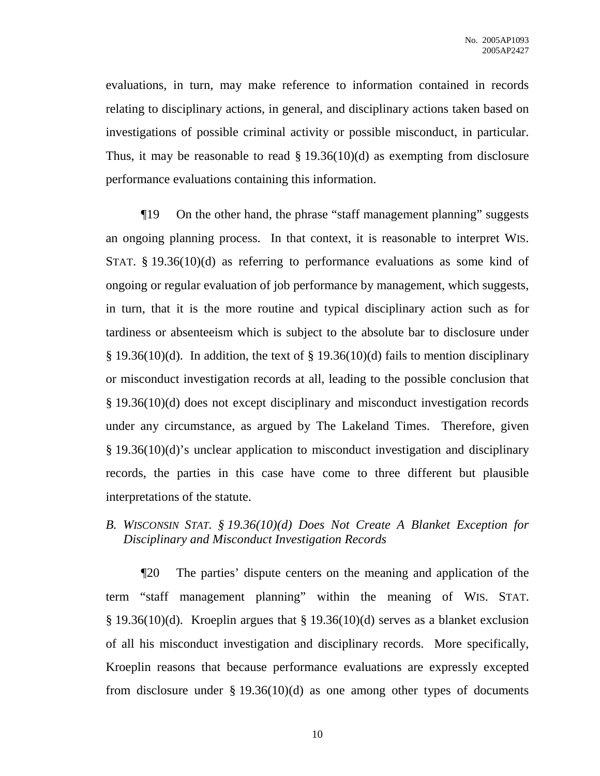evaluations, in turn, may make reference to information contained in records relating to disciplinary actions, in general, and disciplinary actions taken based on investigations of possible criminal activity or possible misconduct, in particular. Thus, it may be reasonable to read  $\S$  19.36(10)(d) as exempting from disclosure performance evaluations containing this information.

¶19 On the other hand, the phrase "staff management planning" suggests an ongoing planning process. In that context, it is reasonable to interpret WIS. STAT. § 19.36(10)(d) as referring to performance evaluations as some kind of ongoing or regular evaluation of job performance by management, which suggests, in turn, that it is the more routine and typical disciplinary action such as for tardiness or absenteeism which is subject to the absolute bar to disclosure under § 19.36(10)(d). In addition, the text of § 19.36(10)(d) fails to mention disciplinary or misconduct investigation records at all, leading to the possible conclusion that § 19.36(10)(d) does not except disciplinary and misconduct investigation records under any circumstance, as argued by The Lakeland Times. Therefore, given § 19.36(10)(d)'s unclear application to misconduct investigation and disciplinary records, the parties in this case have come to three different but plausible interpretations of the statute.

*B. WISCONSIN STAT. § 19.36(10)(d) Does Not Create A Blanket Exception for Disciplinary and Misconduct Investigation Records*

¶20 The parties' dispute centers on the meaning and application of the term "staff management planning" within the meaning of WIS. STAT. § 19.36(10)(d). Kroeplin argues that § 19.36(10)(d) serves as a blanket exclusion of all his misconduct investigation and disciplinary records. More specifically, Kroeplin reasons that because performance evaluations are expressly excepted from disclosure under  $\S 19.36(10)(d)$  as one among other types of documents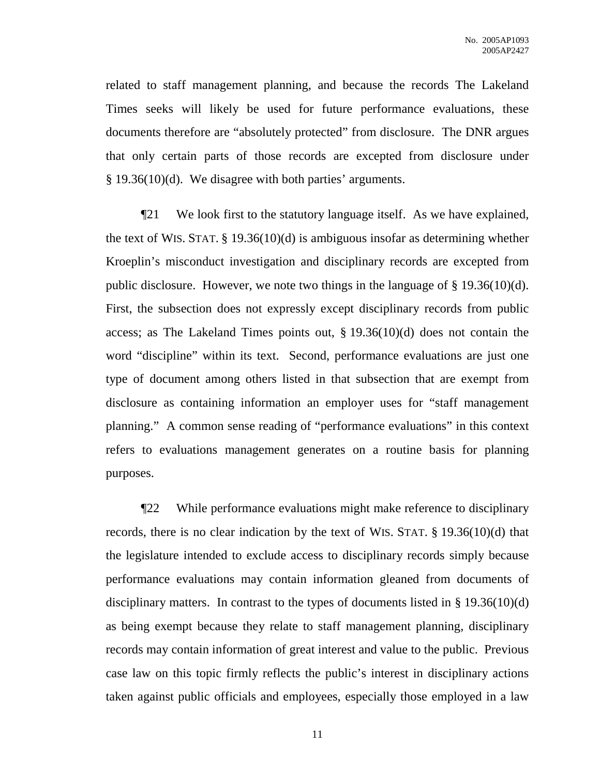related to staff management planning, and because the records The Lakeland Times seeks will likely be used for future performance evaluations, these documents therefore are "absolutely protected" from disclosure. The DNR argues that only certain parts of those records are excepted from disclosure under § 19.36(10)(d). We disagree with both parties' arguments.

¶21 We look first to the statutory language itself. As we have explained, the text of WIS. STAT. § 19.36(10)(d) is ambiguous insofar as determining whether Kroeplin's misconduct investigation and disciplinary records are excepted from public disclosure. However, we note two things in the language of § 19.36(10)(d). First, the subsection does not expressly except disciplinary records from public access; as The Lakeland Times points out, § 19.36(10)(d) does not contain the word "discipline" within its text. Second, performance evaluations are just one type of document among others listed in that subsection that are exempt from disclosure as containing information an employer uses for "staff management planning." A common sense reading of "performance evaluations" in this context refers to evaluations management generates on a routine basis for planning purposes.

¶22 While performance evaluations might make reference to disciplinary records, there is no clear indication by the text of WIS. STAT. § 19.36(10)(d) that the legislature intended to exclude access to disciplinary records simply because performance evaluations may contain information gleaned from documents of disciplinary matters. In contrast to the types of documents listed in § 19.36(10)(d) as being exempt because they relate to staff management planning, disciplinary records may contain information of great interest and value to the public. Previous case law on this topic firmly reflects the public's interest in disciplinary actions taken against public officials and employees, especially those employed in a law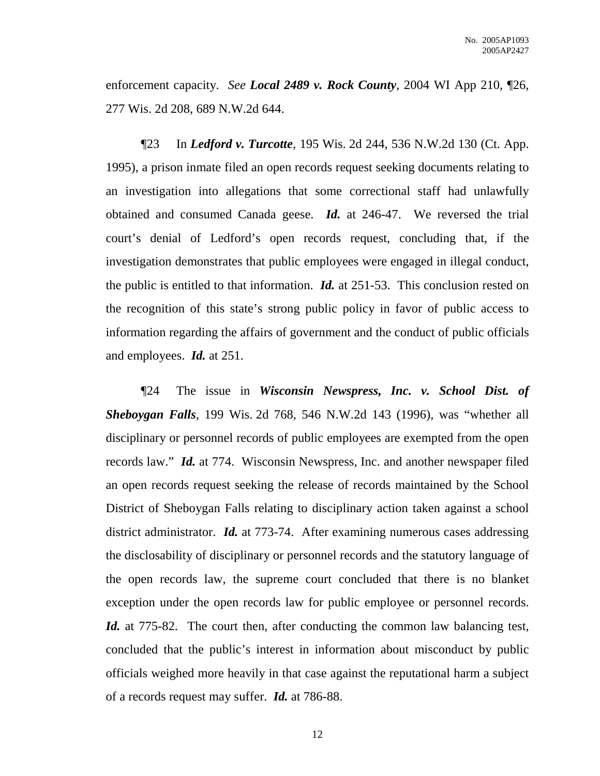enforcement capacity. *See Local 2489 v. Rock County*, 2004 WI App 210, ¶26, 277 Wis. 2d 208, 689 N.W.2d 644.

¶23 In *Ledford v. Turcotte*, 195 Wis. 2d 244, 536 N.W.2d 130 (Ct. App. 1995), a prison inmate filed an open records request seeking documents relating to an investigation into allegations that some correctional staff had unlawfully obtained and consumed Canada geese. *Id.* at 246-47. We reversed the trial court's denial of Ledford's open records request, concluding that, if the investigation demonstrates that public employees were engaged in illegal conduct, the public is entitled to that information. *Id.* at 251-53. This conclusion rested on the recognition of this state's strong public policy in favor of public access to information regarding the affairs of government and the conduct of public officials and employees. *Id.* at 251.

¶24 The issue in *Wisconsin Newspress, Inc. v. School Dist. of Sheboygan Falls*, 199 Wis. 2d 768, 546 N.W.2d 143 (1996), was "whether all disciplinary or personnel records of public employees are exempted from the open records law." *Id.* at 774. Wisconsin Newspress, Inc. and another newspaper filed an open records request seeking the release of records maintained by the School District of Sheboygan Falls relating to disciplinary action taken against a school district administrator. *Id.* at 773-74. After examining numerous cases addressing the disclosability of disciplinary or personnel records and the statutory language of the open records law, the supreme court concluded that there is no blanket exception under the open records law for public employee or personnel records. *Id.* at 775-82. The court then, after conducting the common law balancing test, concluded that the public's interest in information about misconduct by public officials weighed more heavily in that case against the reputational harm a subject of a records request may suffer. *Id.* at 786-88.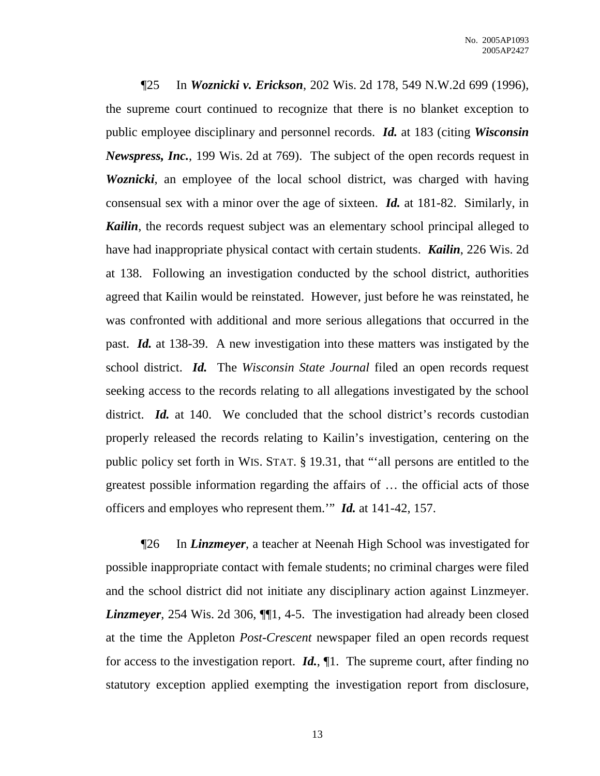¶25 In *Woznicki v. Erickson*, 202 Wis. 2d 178, 549 N.W.2d 699 (1996), the supreme court continued to recognize that there is no blanket exception to public employee disciplinary and personnel records. *Id.* at 183 (citing *Wisconsin Newspress, Inc.*, 199 Wis. 2d at 769). The subject of the open records request in *Woznicki*, an employee of the local school district, was charged with having consensual sex with a minor over the age of sixteen. *Id.* at 181-82. Similarly, in *Kailin*, the records request subject was an elementary school principal alleged to have had inappropriate physical contact with certain students. *Kailin*, 226 Wis. 2d at 138. Following an investigation conducted by the school district, authorities agreed that Kailin would be reinstated. However, just before he was reinstated, he was confronted with additional and more serious allegations that occurred in the past. *Id.* at 138-39. A new investigation into these matters was instigated by the school district. *Id.* The *Wisconsin State Journal* filed an open records request seeking access to the records relating to all allegations investigated by the school district. *Id.* at 140. We concluded that the school district's records custodian properly released the records relating to Kailin's investigation, centering on the public policy set forth in WIS. STAT. § 19.31, that "'all persons are entitled to the greatest possible information regarding the affairs of … the official acts of those officers and employes who represent them.'" *Id.* at 141-42, 157.

¶26 In *Linzmeyer*, a teacher at Neenah High School was investigated for possible inappropriate contact with female students; no criminal charges were filed and the school district did not initiate any disciplinary action against Linzmeyer. *Linzmeyer*, 254 Wis. 2d 306,  $\P$ [1, 4-5. The investigation had already been closed at the time the Appleton *Post-Crescent* newspaper filed an open records request for access to the investigation report. *Id.*, ¶1. The supreme court, after finding no statutory exception applied exempting the investigation report from disclosure,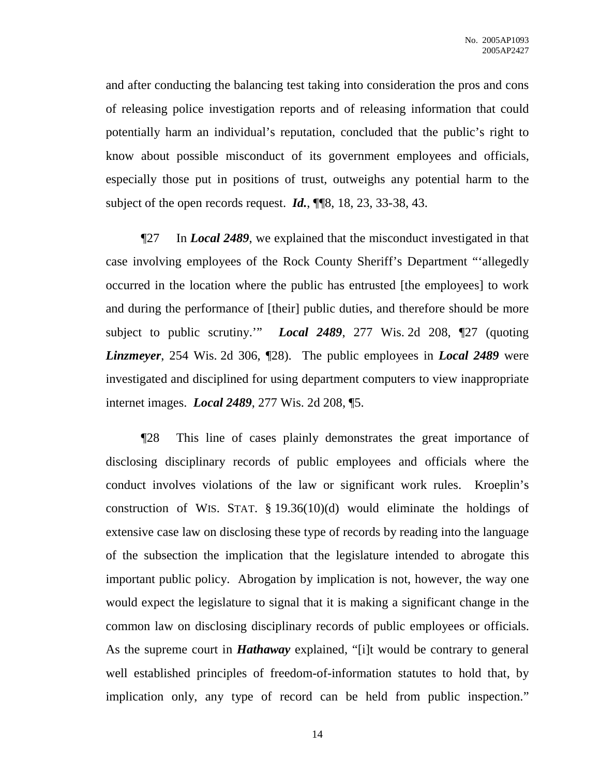and after conducting the balancing test taking into consideration the pros and cons of releasing police investigation reports and of releasing information that could potentially harm an individual's reputation, concluded that the public's right to know about possible misconduct of its government employees and officials, especially those put in positions of trust, outweighs any potential harm to the subject of the open records request. *Id.*, ¶¶8, 18, 23, 33-38, 43.

¶27 In *Local 2489*, we explained that the misconduct investigated in that case involving employees of the Rock County Sheriff's Department "'allegedly occurred in the location where the public has entrusted [the employees] to work and during the performance of [their] public duties, and therefore should be more subject to public scrutiny.'" *Local 2489*, 277 Wis. 2d 208, ¶27 (quoting *Linzmeyer*, 254 Wis. 2d 306, ¶28). The public employees in *Local 2489* were investigated and disciplined for using department computers to view inappropriate internet images. *Local 2489*, 277 Wis. 2d 208, ¶5.

¶28 This line of cases plainly demonstrates the great importance of disclosing disciplinary records of public employees and officials where the conduct involves violations of the law or significant work rules. Kroeplin's construction of WIS. STAT.  $\S 19.36(10)(d)$  would eliminate the holdings of extensive case law on disclosing these type of records by reading into the language of the subsection the implication that the legislature intended to abrogate this important public policy. Abrogation by implication is not, however, the way one would expect the legislature to signal that it is making a significant change in the common law on disclosing disciplinary records of public employees or officials. As the supreme court in *Hathaway* explained, "[i]t would be contrary to general well established principles of freedom-of-information statutes to hold that, by implication only, any type of record can be held from public inspection."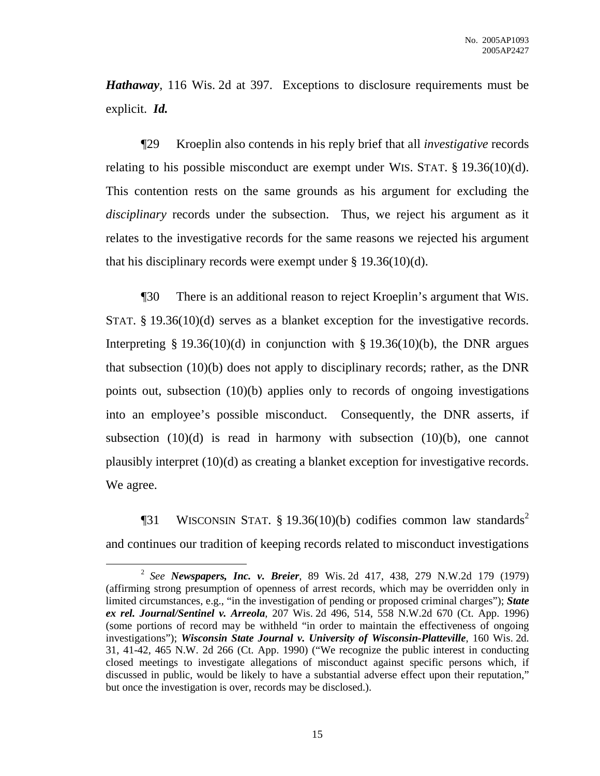*Hathaway*, 116 Wis. 2d at 397. Exceptions to disclosure requirements must be explicit. *Id.*

¶29 Kroeplin also contends in his reply brief that all *investigative* records relating to his possible misconduct are exempt under WIS. STAT. § 19.36(10)(d). This contention rests on the same grounds as his argument for excluding the *disciplinary* records under the subsection. Thus, we reject his argument as it relates to the investigative records for the same reasons we rejected his argument that his disciplinary records were exempt under  $\S 19.36(10)(d)$ .

¶30 There is an additional reason to reject Kroeplin's argument that WIS. STAT. § 19.36(10)(d) serves as a blanket exception for the investigative records. Interpreting § 19.36(10)(d) in conjunction with § 19.36(10)(b), the DNR argues that subsection (10)(b) does not apply to disciplinary records; rather, as the DNR points out, subsection (10)(b) applies only to records of ongoing investigations into an employee's possible misconduct. Consequently, the DNR asserts, if subsection  $(10)(d)$  is read in harmony with subsection  $(10)(b)$ , one cannot plausibly interpret (10)(d) as creating a blanket exception for investigative records. We agree.

**The STAT WISCONSIN STAT.** § 19.36(10)(b) codifies common law standards<sup>2</sup> and continues our tradition of keeping records related to misconduct investigations

<sup>2</sup> *See Newspapers, Inc. v. Breier*, 89 Wis. 2d 417, 438, 279 N.W.2d 179 (1979) (affirming strong presumption of openness of arrest records, which may be overridden only in limited circumstances, e.g., "in the investigation of pending or proposed criminal charges"); *State ex rel. Journal/Sentinel v. Arreola*, 207 Wis. 2d 496, 514, 558 N.W.2d 670 (Ct. App. 1996) (some portions of record may be withheld "in order to maintain the effectiveness of ongoing investigations"); *Wisconsin State Journal v. University of Wisconsin-Platteville*, 160 Wis. 2d. 31, 41-42, 465 N.W. 2d 266 (Ct. App. 1990) ("We recognize the public interest in conducting closed meetings to investigate allegations of misconduct against specific persons which, if discussed in public, would be likely to have a substantial adverse effect upon their reputation," but once the investigation is over, records may be disclosed.).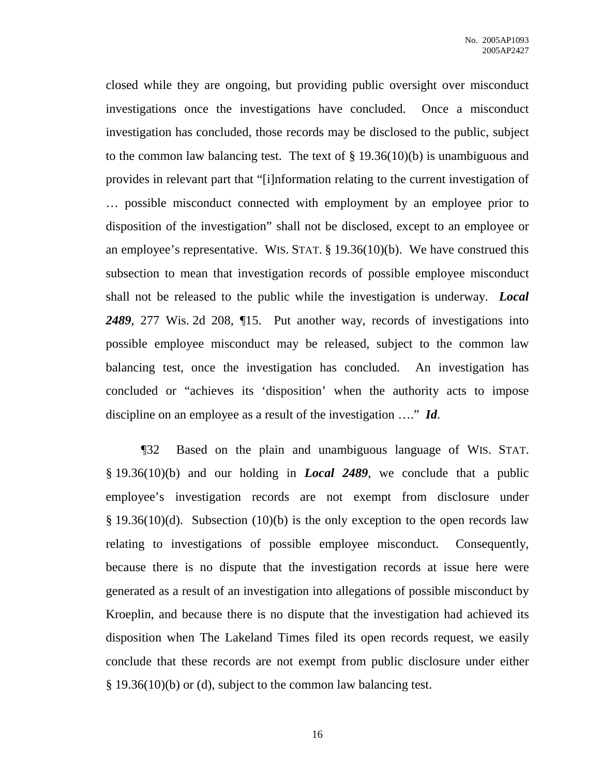closed while they are ongoing, but providing public oversight over misconduct investigations once the investigations have concluded. Once a misconduct investigation has concluded, those records may be disclosed to the public, subject to the common law balancing test. The text of  $\S 19.36(10)(b)$  is unambiguous and provides in relevant part that "[i]nformation relating to the current investigation of … possible misconduct connected with employment by an employee prior to disposition of the investigation" shall not be disclosed, except to an employee or an employee's representative. WIS. STAT.  $\S$  19.36(10)(b). We have construed this subsection to mean that investigation records of possible employee misconduct shall not be released to the public while the investigation is underway. *Local 2489*, 277 Wis. 2d 208, ¶15. Put another way, records of investigations into possible employee misconduct may be released, subject to the common law balancing test, once the investigation has concluded. An investigation has concluded or "achieves its 'disposition' when the authority acts to impose discipline on an employee as a result of the investigation …." *Id*.

¶32 Based on the plain and unambiguous language of WIS. STAT. § 19.36(10)(b) and our holding in *Local 2489*, we conclude that a public employee's investigation records are not exempt from disclosure under  $§$  19.36(10)(d). Subsection (10)(b) is the only exception to the open records law relating to investigations of possible employee misconduct. Consequently, because there is no dispute that the investigation records at issue here were generated as a result of an investigation into allegations of possible misconduct by Kroeplin, and because there is no dispute that the investigation had achieved its disposition when The Lakeland Times filed its open records request, we easily conclude that these records are not exempt from public disclosure under either § 19.36(10)(b) or (d), subject to the common law balancing test.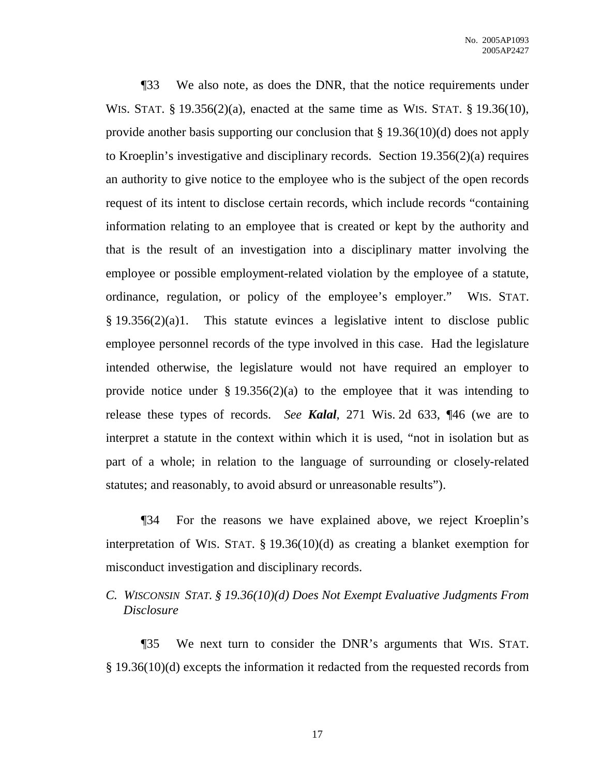¶33 We also note, as does the DNR, that the notice requirements under WIS. STAT. § 19.356(2)(a), enacted at the same time as WIS. STAT. § 19.36(10), provide another basis supporting our conclusion that § 19.36(10)(d) does not apply to Kroeplin's investigative and disciplinary records. Section 19.356(2)(a) requires an authority to give notice to the employee who is the subject of the open records request of its intent to disclose certain records, which include records "containing information relating to an employee that is created or kept by the authority and that is the result of an investigation into a disciplinary matter involving the employee or possible employment-related violation by the employee of a statute, ordinance, regulation, or policy of the employee's employer." WIS. STAT. § 19.356(2)(a)1. This statute evinces a legislative intent to disclose public employee personnel records of the type involved in this case. Had the legislature intended otherwise, the legislature would not have required an employer to provide notice under  $\S 19.356(2)(a)$  to the employee that it was intending to release these types of records. *See Kalal*, 271 Wis. 2d 633, ¶46 (we are to interpret a statute in the context within which it is used, "not in isolation but as part of a whole; in relation to the language of surrounding or closely-related statutes; and reasonably, to avoid absurd or unreasonable results").

¶34 For the reasons we have explained above, we reject Kroeplin's interpretation of WIS. STAT. § 19.36(10)(d) as creating a blanket exemption for misconduct investigation and disciplinary records.

*C. WISCONSIN STAT. § 19.36(10)(d) Does Not Exempt Evaluative Judgments From Disclosure*

¶35 We next turn to consider the DNR's arguments that WIS. STAT. § 19.36(10)(d) excepts the information it redacted from the requested records from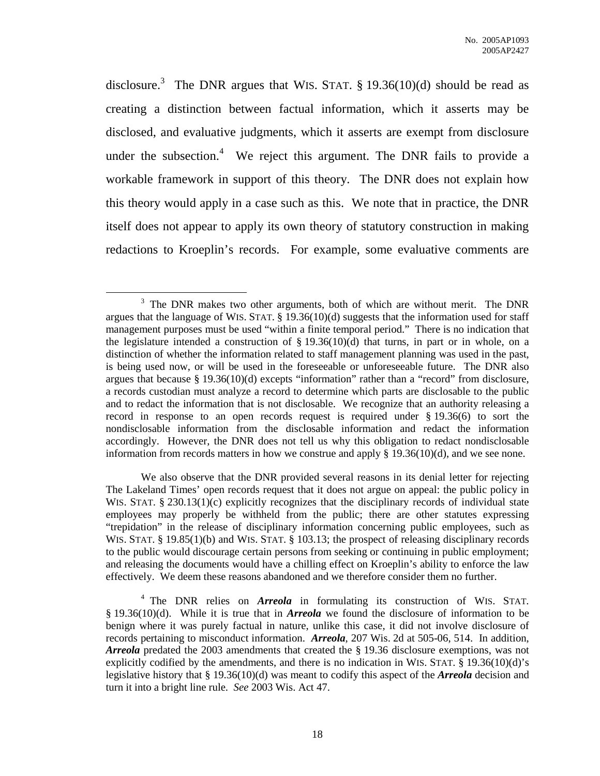disclosure.<sup>3</sup> The DNR argues that WIS. STAT. § 19.36(10)(d) should be read as creating a distinction between factual information, which it asserts may be disclosed, and evaluative judgments, which it asserts are exempt from disclosure under the subsection.<sup>4</sup> We reject this argument. The DNR fails to provide a workable framework in support of this theory. The DNR does not explain how this theory would apply in a case such as this. We note that in practice, the DNR itself does not appear to apply its own theory of statutory construction in making redactions to Kroeplin's records. For example, some evaluative comments are

We also observe that the DNR provided several reasons in its denial letter for rejecting The Lakeland Times' open records request that it does not argue on appeal: the public policy in WIS. STAT. § 230.13(1)(c) explicitly recognizes that the disciplinary records of individual state employees may properly be withheld from the public; there are other statutes expressing "trepidation" in the release of disciplinary information concerning public employees, such as WIS. STAT. § 19.85(1)(b) and WIS. STAT. § 103.13; the prospect of releasing disciplinary records to the public would discourage certain persons from seeking or continuing in public employment; and releasing the documents would have a chilling effect on Kroeplin's ability to enforce the law effectively. We deem these reasons abandoned and we therefore consider them no further.

 $3$  The DNR makes two other arguments, both of which are without merit. The DNR argues that the language of WIS. STAT. § 19.36(10)(d) suggests that the information used for staff management purposes must be used "within a finite temporal period." There is no indication that the legislature intended a construction of  $\S 19.36(10)(d)$  that turns, in part or in whole, on a distinction of whether the information related to staff management planning was used in the past, is being used now, or will be used in the foreseeable or unforeseeable future. The DNR also argues that because § 19.36(10)(d) excepts "information" rather than a "record" from disclosure, a records custodian must analyze a record to determine which parts are disclosable to the public and to redact the information that is not disclosable. We recognize that an authority releasing a record in response to an open records request is required under § 19.36(6) to sort the nondisclosable information from the disclosable information and redact the information accordingly. However, the DNR does not tell us why this obligation to redact nondisclosable information from records matters in how we construe and apply  $\S$  19.36(10)(d), and we see none.

<sup>&</sup>lt;sup>4</sup> The DNR relies on *Arreola* in formulating its construction of WIS. STAT. § 19.36(10)(d). While it is true that in *Arreola* we found the disclosure of information to be benign where it was purely factual in nature, unlike this case, it did not involve disclosure of records pertaining to misconduct information. *Arreola*, 207 Wis. 2d at 505-06, 514. In addition, *Arreola* predated the 2003 amendments that created the § 19.36 disclosure exemptions, was not explicitly codified by the amendments, and there is no indication in WIS. STAT. § 19.36(10)(d)'s legislative history that § 19.36(10)(d) was meant to codify this aspect of the *Arreola* decision and turn it into a bright line rule. *See* 2003 Wis. Act 47.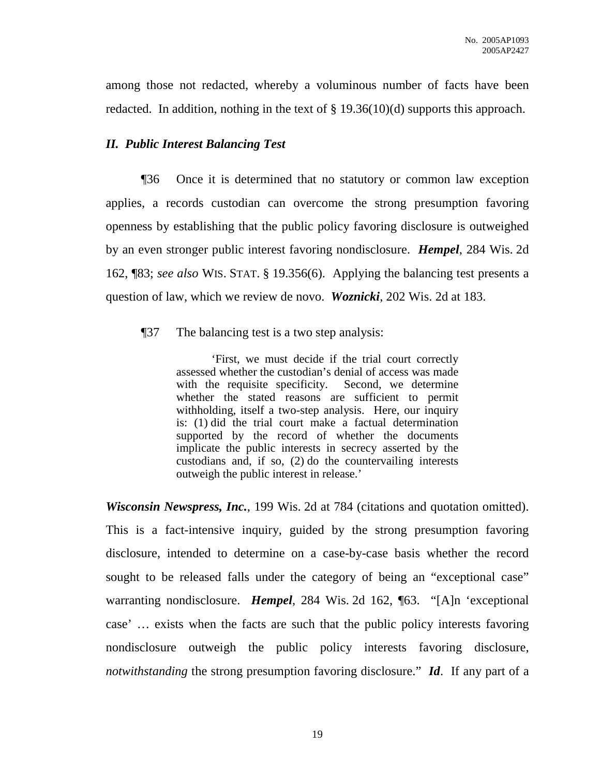among those not redacted, whereby a voluminous number of facts have been redacted. In addition, nothing in the text of § 19.36(10)(d) supports this approach.

# *II. Public Interest Balancing Test*

¶36 Once it is determined that no statutory or common law exception applies, a records custodian can overcome the strong presumption favoring openness by establishing that the public policy favoring disclosure is outweighed by an even stronger public interest favoring nondisclosure. *Hempel*, 284 Wis. 2d 162, ¶83; *see also* WIS. STAT. § 19.356(6). Applying the balancing test presents a question of law, which we review de novo. *Woznicki*, 202 Wis. 2d at 183.

¶37 The balancing test is a two step analysis:

'First, we must decide if the trial court correctly assessed whether the custodian's denial of access was made with the requisite specificity. Second, we determine whether the stated reasons are sufficient to permit withholding, itself a two-step analysis. Here, our inquiry is: (1) did the trial court make a factual determination supported by the record of whether the documents implicate the public interests in secrecy asserted by the custodians and, if so, (2) do the countervailing interests outweigh the public interest in release.'

*Wisconsin Newspress, Inc.*, 199 Wis. 2d at 784 (citations and quotation omitted). This is a fact-intensive inquiry, guided by the strong presumption favoring disclosure, intended to determine on a case-by-case basis whether the record sought to be released falls under the category of being an "exceptional case" warranting nondisclosure. *Hempel*, 284 Wis. 2d 162, ¶63. "[A]n 'exceptional case' … exists when the facts are such that the public policy interests favoring nondisclosure outweigh the public policy interests favoring disclosure, *notwithstanding* the strong presumption favoring disclosure." *Id*. If any part of a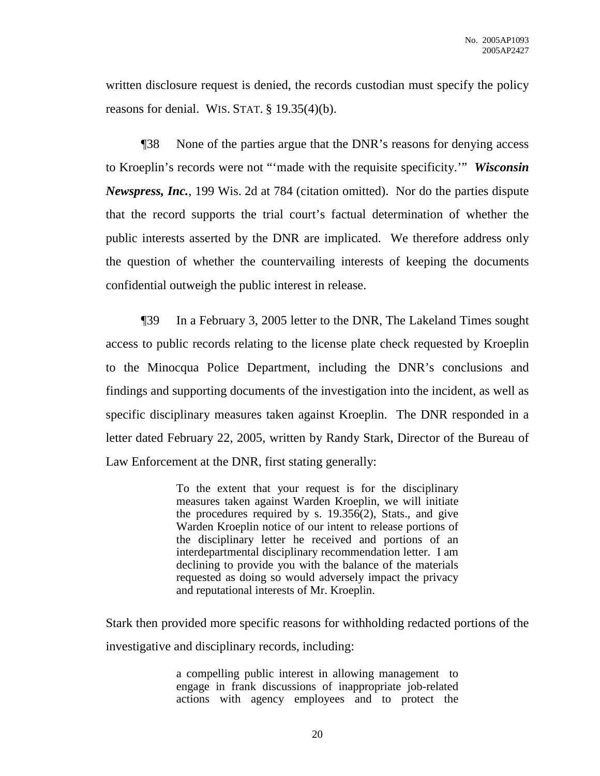written disclosure request is denied, the records custodian must specify the policy reasons for denial. WIS. STAT. § 19.35(4)(b).

¶38 None of the parties argue that the DNR's reasons for denying access to Kroeplin's records were not "'made with the requisite specificity.'" *Wisconsin Newspress, Inc.*, 199 Wis. 2d at 784 (citation omitted). Nor do the parties dispute that the record supports the trial court's factual determination of whether the public interests asserted by the DNR are implicated. We therefore address only the question of whether the countervailing interests of keeping the documents confidential outweigh the public interest in release.

¶39 In a February 3, 2005 letter to the DNR, The Lakeland Times sought access to public records relating to the license plate check requested by Kroeplin to the Minocqua Police Department, including the DNR's conclusions and findings and supporting documents of the investigation into the incident, as well as specific disciplinary measures taken against Kroeplin. The DNR responded in a letter dated February 22, 2005, written by Randy Stark, Director of the Bureau of Law Enforcement at the DNR, first stating generally:

> To the extent that your request is for the disciplinary measures taken against Warden Kroeplin, we will initiate the procedures required by s. 19.356(2), Stats., and give Warden Kroeplin notice of our intent to release portions of the disciplinary letter he received and portions of an interdepartmental disciplinary recommendation letter. I am declining to provide you with the balance of the materials requested as doing so would adversely impact the privacy and reputational interests of Mr. Kroeplin.

Stark then provided more specific reasons for withholding redacted portions of the investigative and disciplinary records, including:

> a compelling public interest in allowing management to engage in frank discussions of inappropriate job-related actions with agency employees and to protect the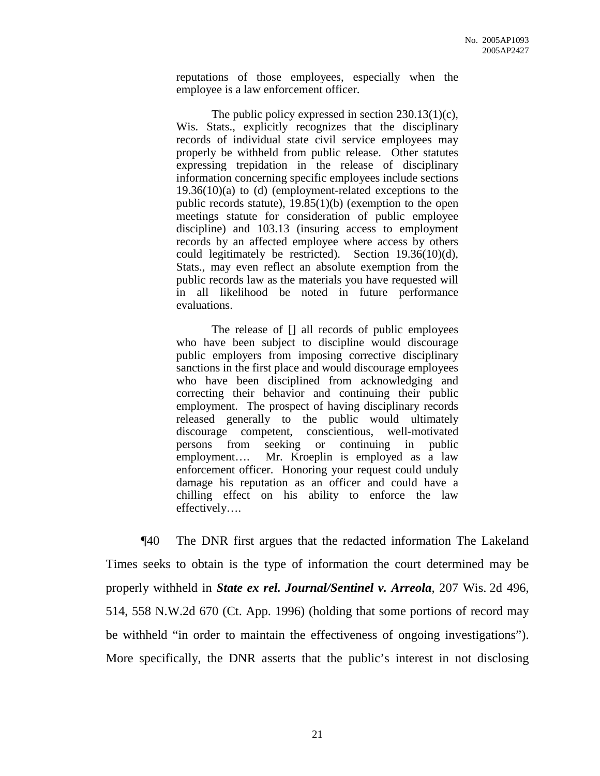reputations of those employees, especially when the employee is a law enforcement officer.

The public policy expressed in section 230.13(1)(c), Wis. Stats., explicitly recognizes that the disciplinary records of individual state civil service employees may properly be withheld from public release. Other statutes expressing trepidation in the release of disciplinary information concerning specific employees include sections  $19.36(10)(a)$  to (d) (employment-related exceptions to the public records statute), 19.85(1)(b) (exemption to the open meetings statute for consideration of public employee discipline) and 103.13 (insuring access to employment records by an affected employee where access by others could legitimately be restricted). Section 19.36(10)(d), Stats., may even reflect an absolute exemption from the public records law as the materials you have requested will in all likelihood be noted in future performance evaluations.

The release of [] all records of public employees who have been subject to discipline would discourage public employers from imposing corrective disciplinary sanctions in the first place and would discourage employees who have been disciplined from acknowledging and correcting their behavior and continuing their public employment. The prospect of having disciplinary records released generally to the public would ultimately discourage competent, conscientious, well-motivated persons from seeking or continuing in public employment…. Mr. Kroeplin is employed as a law enforcement officer. Honoring your request could unduly damage his reputation as an officer and could have a chilling effect on his ability to enforce the law effectively….

¶40 The DNR first argues that the redacted information The Lakeland Times seeks to obtain is the type of information the court determined may be properly withheld in *State ex rel. Journal/Sentinel v. Arreola*, 207 Wis. 2d 496, 514, 558 N.W.2d 670 (Ct. App. 1996) (holding that some portions of record may be withheld "in order to maintain the effectiveness of ongoing investigations"). More specifically, the DNR asserts that the public's interest in not disclosing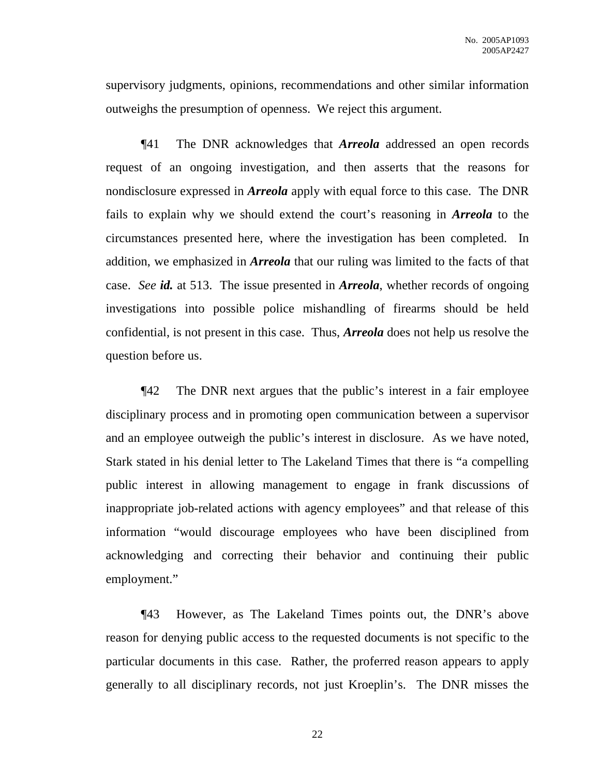supervisory judgments, opinions, recommendations and other similar information outweighs the presumption of openness. We reject this argument.

¶41 The DNR acknowledges that *Arreola* addressed an open records request of an ongoing investigation, and then asserts that the reasons for nondisclosure expressed in *Arreola* apply with equal force to this case. The DNR fails to explain why we should extend the court's reasoning in *Arreola* to the circumstances presented here, where the investigation has been completed. In addition, we emphasized in *Arreola* that our ruling was limited to the facts of that case. *See id.* at 513. The issue presented in *Arreola*, whether records of ongoing investigations into possible police mishandling of firearms should be held confidential, is not present in this case. Thus, *Arreola* does not help us resolve the question before us.

¶42 The DNR next argues that the public's interest in a fair employee disciplinary process and in promoting open communication between a supervisor and an employee outweigh the public's interest in disclosure. As we have noted, Stark stated in his denial letter to The Lakeland Times that there is "a compelling public interest in allowing management to engage in frank discussions of inappropriate job-related actions with agency employees" and that release of this information "would discourage employees who have been disciplined from acknowledging and correcting their behavior and continuing their public employment."

¶43 However, as The Lakeland Times points out, the DNR's above reason for denying public access to the requested documents is not specific to the particular documents in this case. Rather, the proferred reason appears to apply generally to all disciplinary records, not just Kroeplin's. The DNR misses the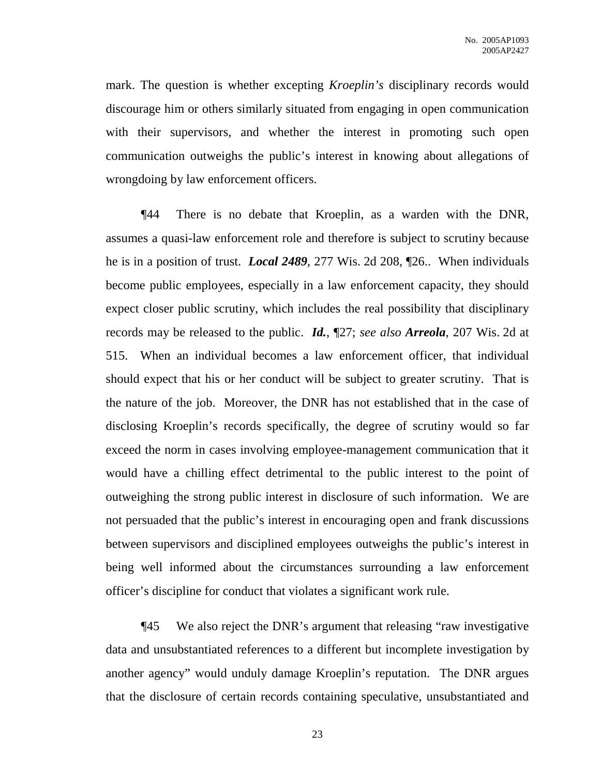mark. The question is whether excepting *Kroeplin's* disciplinary records would discourage him or others similarly situated from engaging in open communication with their supervisors, and whether the interest in promoting such open communication outweighs the public's interest in knowing about allegations of wrongdoing by law enforcement officers.

¶44 There is no debate that Kroeplin, as a warden with the DNR, assumes a quasi-law enforcement role and therefore is subject to scrutiny because he is in a position of trust. *Local 2489*, 277 Wis. 2d 208, ¶26.. When individuals become public employees, especially in a law enforcement capacity, they should expect closer public scrutiny, which includes the real possibility that disciplinary records may be released to the public. *Id.*, ¶27; *see also Arreola*, 207 Wis. 2d at 515. When an individual becomes a law enforcement officer, that individual should expect that his or her conduct will be subject to greater scrutiny. That is the nature of the job. Moreover, the DNR has not established that in the case of disclosing Kroeplin's records specifically, the degree of scrutiny would so far exceed the norm in cases involving employee-management communication that it would have a chilling effect detrimental to the public interest to the point of outweighing the strong public interest in disclosure of such information. We are not persuaded that the public's interest in encouraging open and frank discussions between supervisors and disciplined employees outweighs the public's interest in being well informed about the circumstances surrounding a law enforcement officer's discipline for conduct that violates a significant work rule.

¶45 We also reject the DNR's argument that releasing "raw investigative data and unsubstantiated references to a different but incomplete investigation by another agency" would unduly damage Kroeplin's reputation. The DNR argues that the disclosure of certain records containing speculative, unsubstantiated and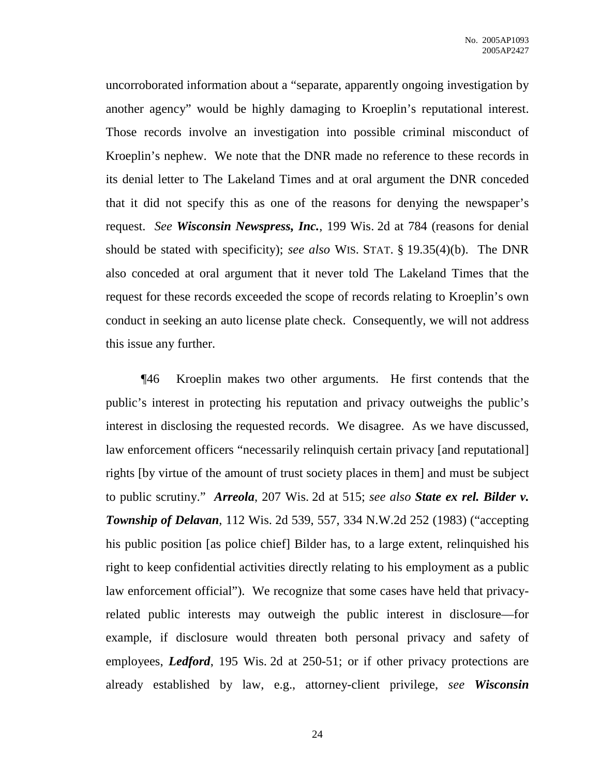uncorroborated information about a "separate, apparently ongoing investigation by another agency" would be highly damaging to Kroeplin's reputational interest. Those records involve an investigation into possible criminal misconduct of Kroeplin's nephew. We note that the DNR made no reference to these records in its denial letter to The Lakeland Times and at oral argument the DNR conceded that it did not specify this as one of the reasons for denying the newspaper's request. *See Wisconsin Newspress, Inc.*, 199 Wis. 2d at 784 (reasons for denial should be stated with specificity); *see also* WIS. STAT. § 19.35(4)(b). The DNR also conceded at oral argument that it never told The Lakeland Times that the request for these records exceeded the scope of records relating to Kroeplin's own conduct in seeking an auto license plate check. Consequently, we will not address this issue any further.

¶46 Kroeplin makes two other arguments. He first contends that the public's interest in protecting his reputation and privacy outweighs the public's interest in disclosing the requested records. We disagree. As we have discussed, law enforcement officers "necessarily relinquish certain privacy [and reputational] rights [by virtue of the amount of trust society places in them] and must be subject to public scrutiny." *Arreola*, 207 Wis. 2d at 515; *see also State ex rel. Bilder v. Township of Delavan*, 112 Wis. 2d 539, 557, 334 N.W.2d 252 (1983) ("accepting his public position [as police chief] Bilder has, to a large extent, relinquished his right to keep confidential activities directly relating to his employment as a public law enforcement official"). We recognize that some cases have held that privacyrelated public interests may outweigh the public interest in disclosure—for example, if disclosure would threaten both personal privacy and safety of employees, *Ledford*, 195 Wis. 2d at 250-51; or if other privacy protections are already established by law, e.g., attorney-client privilege, *see Wisconsin*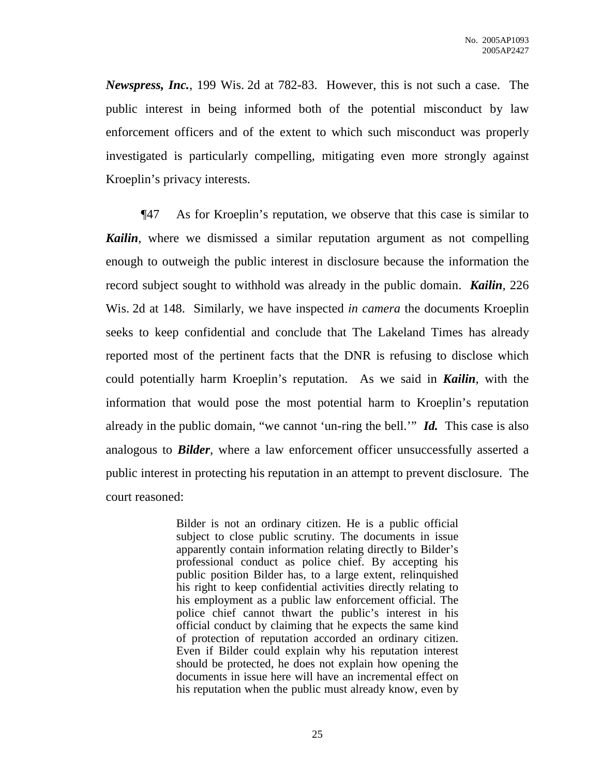*Newspress, Inc.*, 199 Wis. 2d at 782-83. However, this is not such a case. The public interest in being informed both of the potential misconduct by law enforcement officers and of the extent to which such misconduct was properly investigated is particularly compelling, mitigating even more strongly against Kroeplin's privacy interests.

¶47 As for Kroeplin's reputation, we observe that this case is similar to *Kailin*, where we dismissed a similar reputation argument as not compelling enough to outweigh the public interest in disclosure because the information the record subject sought to withhold was already in the public domain. *Kailin*, 226 Wis. 2d at 148. Similarly, we have inspected *in camera* the documents Kroeplin seeks to keep confidential and conclude that The Lakeland Times has already reported most of the pertinent facts that the DNR is refusing to disclose which could potentially harm Kroeplin's reputation. As we said in *Kailin*, with the information that would pose the most potential harm to Kroeplin's reputation already in the public domain, "we cannot 'un-ring the bell.'" *Id.* This case is also analogous to *Bilder*, where a law enforcement officer unsuccessfully asserted a public interest in protecting his reputation in an attempt to prevent disclosure. The court reasoned:

> Bilder is not an ordinary citizen. He is a public official subject to close public scrutiny. The documents in issue apparently contain information relating directly to Bilder's professional conduct as police chief. By accepting his public position Bilder has, to a large extent, relinquished his right to keep confidential activities directly relating to his employment as a public law enforcement official. The police chief cannot thwart the public's interest in his official conduct by claiming that he expects the same kind of protection of reputation accorded an ordinary citizen. Even if Bilder could explain why his reputation interest should be protected, he does not explain how opening the documents in issue here will have an incremental effect on his reputation when the public must already know, even by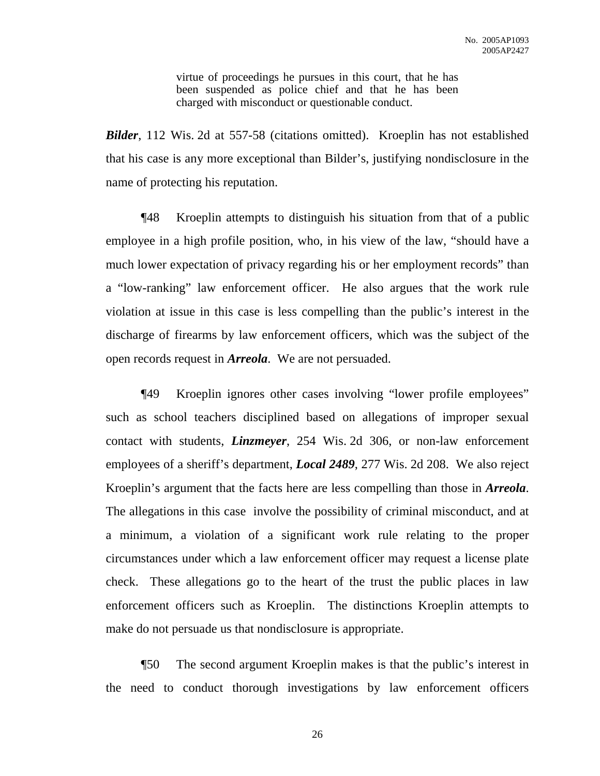virtue of proceedings he pursues in this court, that he has been suspended as police chief and that he has been charged with misconduct or questionable conduct.

*Bilder*, 112 Wis. 2d at 557-58 (citations omitted). Kroeplin has not established that his case is any more exceptional than Bilder's, justifying nondisclosure in the name of protecting his reputation.

¶48 Kroeplin attempts to distinguish his situation from that of a public employee in a high profile position, who, in his view of the law, "should have a much lower expectation of privacy regarding his or her employment records" than a "low-ranking" law enforcement officer. He also argues that the work rule violation at issue in this case is less compelling than the public's interest in the discharge of firearms by law enforcement officers, which was the subject of the open records request in *Arreola*. We are not persuaded.

¶49 Kroeplin ignores other cases involving "lower profile employees" such as school teachers disciplined based on allegations of improper sexual contact with students, *Linzmeyer*, 254 Wis. 2d 306, or non-law enforcement employees of a sheriff's department, *Local 2489*, 277 Wis. 2d 208. We also reject Kroeplin's argument that the facts here are less compelling than those in *Arreola*. The allegations in this case involve the possibility of criminal misconduct, and at a minimum, a violation of a significant work rule relating to the proper circumstances under which a law enforcement officer may request a license plate check. These allegations go to the heart of the trust the public places in law enforcement officers such as Kroeplin. The distinctions Kroeplin attempts to make do not persuade us that nondisclosure is appropriate.

¶50 The second argument Kroeplin makes is that the public's interest in the need to conduct thorough investigations by law enforcement officers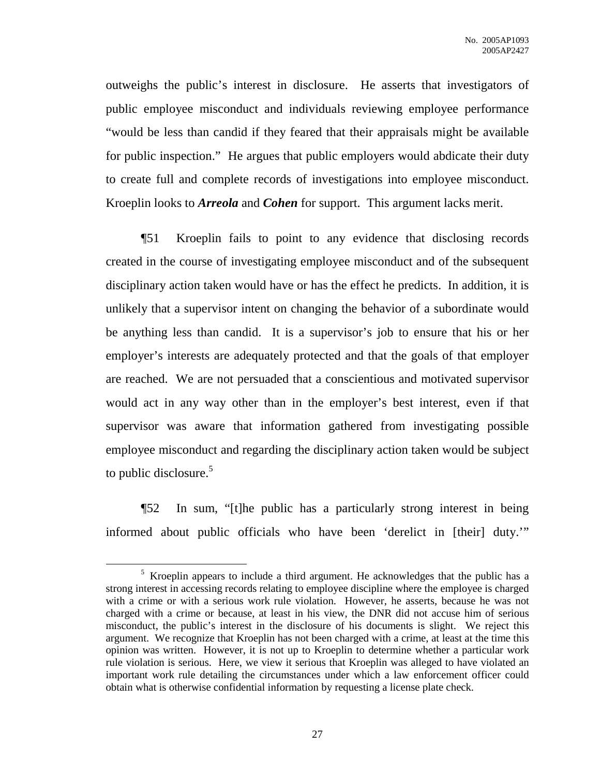outweighs the public's interest in disclosure. He asserts that investigators of public employee misconduct and individuals reviewing employee performance "would be less than candid if they feared that their appraisals might be available for public inspection." He argues that public employers would abdicate their duty to create full and complete records of investigations into employee misconduct. Kroeplin looks to *Arreola* and *Cohen* for support. This argument lacks merit.

¶51 Kroeplin fails to point to any evidence that disclosing records created in the course of investigating employee misconduct and of the subsequent disciplinary action taken would have or has the effect he predicts. In addition, it is unlikely that a supervisor intent on changing the behavior of a subordinate would be anything less than candid. It is a supervisor's job to ensure that his or her employer's interests are adequately protected and that the goals of that employer are reached. We are not persuaded that a conscientious and motivated supervisor would act in any way other than in the employer's best interest, even if that supervisor was aware that information gathered from investigating possible employee misconduct and regarding the disciplinary action taken would be subject to public disclosure.<sup>5</sup>

¶52 In sum, "[t]he public has a particularly strong interest in being informed about public officials who have been 'derelict in [their] duty.'"

<sup>5</sup> Kroeplin appears to include a third argument. He acknowledges that the public has a strong interest in accessing records relating to employee discipline where the employee is charged with a crime or with a serious work rule violation. However, he asserts, because he was not charged with a crime or because, at least in his view, the DNR did not accuse him of serious misconduct, the public's interest in the disclosure of his documents is slight. We reject this argument. We recognize that Kroeplin has not been charged with a crime, at least at the time this opinion was written. However, it is not up to Kroeplin to determine whether a particular work rule violation is serious. Here, we view it serious that Kroeplin was alleged to have violated an important work rule detailing the circumstances under which a law enforcement officer could obtain what is otherwise confidential information by requesting a license plate check.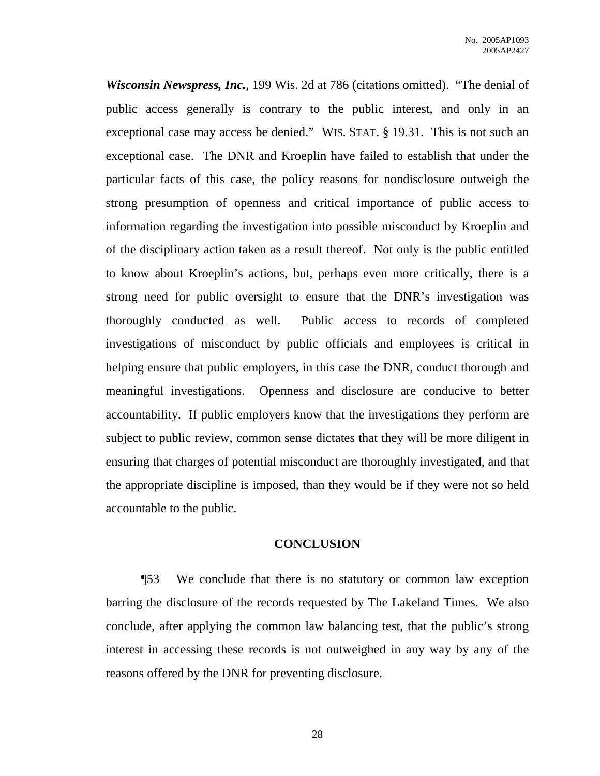*Wisconsin Newspress, Inc.*, 199 Wis. 2d at 786 (citations omitted). "The denial of public access generally is contrary to the public interest, and only in an exceptional case may access be denied." WIS. STAT. § 19.31. This is not such an exceptional case. The DNR and Kroeplin have failed to establish that under the particular facts of this case, the policy reasons for nondisclosure outweigh the strong presumption of openness and critical importance of public access to information regarding the investigation into possible misconduct by Kroeplin and of the disciplinary action taken as a result thereof. Not only is the public entitled to know about Kroeplin's actions, but, perhaps even more critically, there is a strong need for public oversight to ensure that the DNR's investigation was thoroughly conducted as well. Public access to records of completed investigations of misconduct by public officials and employees is critical in helping ensure that public employers, in this case the DNR, conduct thorough and meaningful investigations. Openness and disclosure are conducive to better accountability. If public employers know that the investigations they perform are subject to public review, common sense dictates that they will be more diligent in ensuring that charges of potential misconduct are thoroughly investigated, and that the appropriate discipline is imposed, than they would be if they were not so held accountable to the public.

### **CONCLUSION**

¶53 We conclude that there is no statutory or common law exception barring the disclosure of the records requested by The Lakeland Times. We also conclude, after applying the common law balancing test, that the public's strong interest in accessing these records is not outweighed in any way by any of the reasons offered by the DNR for preventing disclosure.